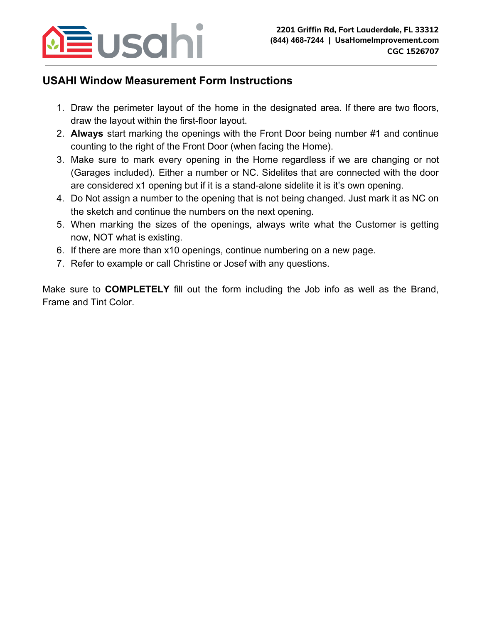

## **USAHI Window Measurement Form Instructions**

- 1. Draw the perimeter layout of the home in the designated area. If there are two floors, draw the layout within the first-floor layout.
- 2. **Always** start marking the openings with the Front Door being number #1 and continue counting to the right of the Front Door (when facing the Home).
- 3. Make sure to mark every opening in the Home regardless if we are changing or not (Garages included). Either a number or NC. Sidelites that are connected with the door are considered x1 opening but if it is a stand-alone sidelite it is it's own opening.
- 4. Do Not assign a number to the opening that is not being changed. Just mark it as NC on the sketch and continue the numbers on the next opening.
- 5. When marking the sizes of the openings, always write what the Customer is getting now, NOT what is existing.
- 6. If there are more than x10 openings, continue numbering on a new page.
- 7. Refer to example or call Christine or Josef with any questions.

Make sure to **COMPLETELY** fill out the form including the Job info as well as the Brand, Frame and Tint Color.